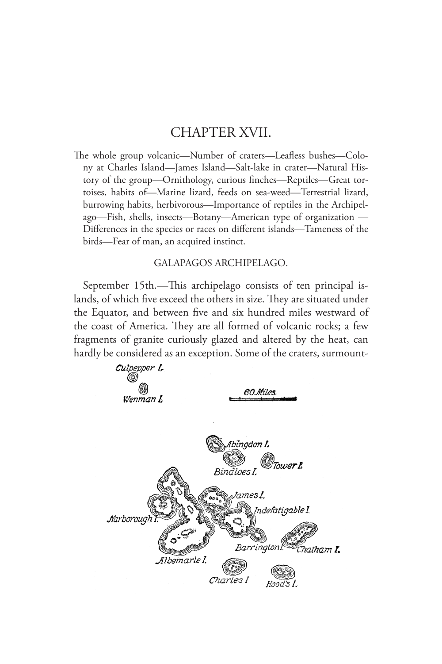## CHAPTER XVII.

The whole group volcanic—Number of craters—Leafless bushes—Colony at Charles Island—James Island—Salt-lake in crater—Natural History of the group—Ornithology, curious finches—Reptiles—Great tortoises, habits of—Marine lizard, feeds on sea-weed—Terrestrial lizard, burrowing habits, herbivorous—Importance of reptiles in the Archipelago—Fish, shells, insects—Botany—American type of organization — Differences in the species or races on different islands—Tameness of the birds—Fear of man, an acquired instinct.

## GALAPAGOS ARCHIPELAGO.

September 15th.—This archipelago consists of ten principal islands, of which five exceed the others in size. They are situated under the Equator, and between five and six hundred miles westward of the coast of America. They are all formed of volcanic rocks; a few fragments of granite curiously glazed and altered by the heat, can hardly be considered as an exception. Some of the craters, surmount-

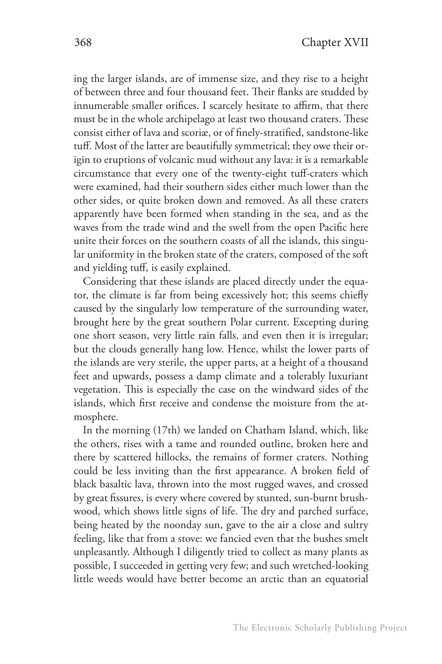ing the larger islands, are of immense size, and they rise to a height of between three and four thousand feet. Their flanks are studded by innumerable smaller orifices. I scarcely hesitate to affirm, that there must be in the whole archipelago at least two thousand craters. These consist either of lava and scoriæ, or of finely-stratified, sandstone-like tuff. Most of the latter are beautifully symmetrical; they owe their origin to eruptions of volcanic mud without any lava: it is a remarkable circumstance that every one of the twenty-eight tuff-craters which were examined, had their southern sides either much lower than the other sides, or quite broken down and removed. As all these craters apparently have been formed when standing in the sea, and as the waves from the trade wind and the swell from the open Pacific here unite their forces on the southern coasts of all the islands, this singular uniformity in the broken state of the craters, composed of the soft and yielding tuff, is easily explained.

Considering that these islands are placed directly under the equator, the climate is far from being excessively hot; this seems chiefly caused by the singularly low temperature of the surrounding water, brought here by the great southern Polar current. Excepting during one short season, very little rain falls, and even then it is irregular; but the clouds generally hang low. Hence, whilst the lower parts of the islands are very sterile, the upper parts, at a height of a thousand feet and upwards, possess a damp climate and a tolerably luxuriant vegetation. This is especially the case on the windward sides of the islands, which first receive and condense the moisture from the atmosphere.

In the morning (17th) we landed on Chatham Island, which, like the others, rises with a tame and rounded outline, broken here and there by scattered hillocks, the remains of former craters. Nothing could be less inviting than the first appearance. A broken field of black basaltic lava, thrown into the most rugged waves, and crossed by great fissures, is every where covered by stunted, sun-burnt brushwood, which shows little signs of life. The dry and parched surface, being heated by the noonday sun, gave to the air a close and sultry feeling, like that from a stove: we fancied even that the bushes smelt unpleasantly. Although I diligently tried to collect as many plants as possible, I succeeded in getting very few; and such wretched-looking little weeds would have better become an arctic than an equatorial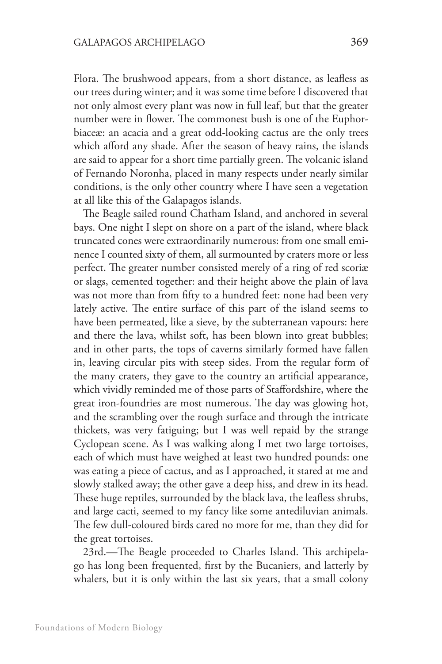Flora. The brushwood appears, from a short distance, as leafless as our trees during winter; and it was some time before I discovered that not only almost every plant was now in full leaf, but that the greater number were in flower. The commonest bush is one of the Euphorbiaceæ: an acacia and a great odd-looking cactus are the only trees which afford any shade. After the season of heavy rains, the islands are said to appear for a short time partially green. The volcanic island of Fernando Noronha, placed in many respects under nearly similar conditions, is the only other country where I have seen a vegetation at all like this of the Galapagos islands.

The Beagle sailed round Chatham Island, and anchored in several bays. One night I slept on shore on a part of the island, where black truncated cones were extraordinarily numerous: from one small eminence I counted sixty of them, all surmounted by craters more or less perfect. The greater number consisted merely of a ring of red scoriæ or slags, cemented together: and their height above the plain of lava was not more than from fifty to a hundred feet: none had been very lately active. The entire surface of this part of the island seems to have been permeated, like a sieve, by the subterranean vapours: here and there the lava, whilst soft, has been blown into great bubbles; and in other parts, the tops of caverns similarly formed have fallen in, leaving circular pits with steep sides. From the regular form of the many craters, they gave to the country an artificial appearance, which vividly reminded me of those parts of Staffordshire, where the great iron-foundries are most numerous. The day was glowing hot, and the scrambling over the rough surface and through the intricate thickets, was very fatiguing; but I was well repaid by the strange Cyclopean scene. As I was walking along I met two large tortoises, each of which must have weighed at least two hundred pounds: one was eating a piece of cactus, and as I approached, it stared at me and slowly stalked away; the other gave a deep hiss, and drew in its head. These huge reptiles, surrounded by the black lava, the leafless shrubs, and large cacti, seemed to my fancy like some antediluvian animals. The few dull-coloured birds cared no more for me, than they did for the great tortoises.

23rd.—The Beagle proceeded to Charles Island. This archipelago has long been frequented, first by the Bucaniers, and latterly by whalers, but it is only within the last six years, that a small colony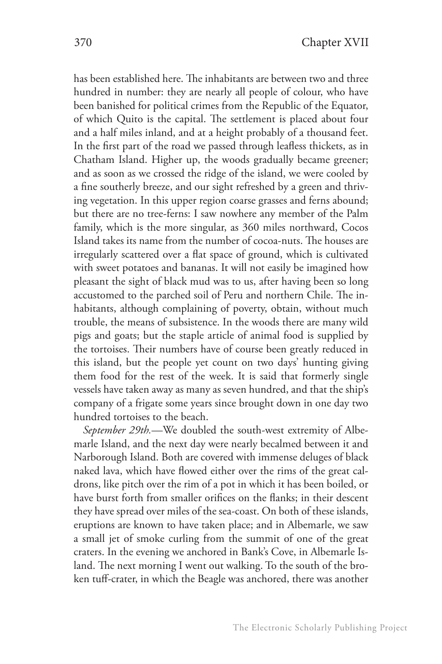has been established here. The inhabitants are between two and three hundred in number: they are nearly all people of colour, who have been banished for political crimes from the Republic of the Equator, of which Quito is the capital. The settlement is placed about four and a half miles inland, and at a height probably of a thousand feet. In the first part of the road we passed through leafless thickets, as in Chatham Island. Higher up, the woods gradually became greener; and as soon as we crossed the ridge of the island, we were cooled by a fine southerly breeze, and our sight refreshed by a green and thriving vegetation. In this upper region coarse grasses and ferns abound; but there are no tree-ferns: I saw nowhere any member of the Palm family, which is the more singular, as 360 miles northward, Cocos Island takes its name from the number of cocoa-nuts. The houses are irregularly scattered over a flat space of ground, which is cultivated with sweet potatoes and bananas. It will not easily be imagined how pleasant the sight of black mud was to us, after having been so long accustomed to the parched soil of Peru and northern Chile. The inhabitants, although complaining of poverty, obtain, without much trouble, the means of subsistence. In the woods there are many wild pigs and goats; but the staple article of animal food is supplied by the tortoises. Their numbers have of course been greatly reduced in this island, but the people yet count on two days' hunting giving them food for the rest of the week. It is said that formerly single vessels have taken away as many as seven hundred, and that the ship's company of a frigate some years since brought down in one day two hundred tortoises to the beach.

*September 29th.*—We doubled the south-west extremity of Albemarle Island, and the next day were nearly becalmed between it and Narborough Island. Both are covered with immense deluges of black naked lava, which have flowed either over the rims of the great caldrons, like pitch over the rim of a pot in which it has been boiled, or have burst forth from smaller orifices on the flanks; in their descent they have spread over miles of the sea-coast. On both of these islands, eruptions are known to have taken place; and in Albemarle, we saw a small jet of smoke curling from the summit of one of the great craters. In the evening we anchored in Bank's Cove, in Albemarle Island. The next morning I went out walking. To the south of the broken tuff-crater, in which the Beagle was anchored, there was another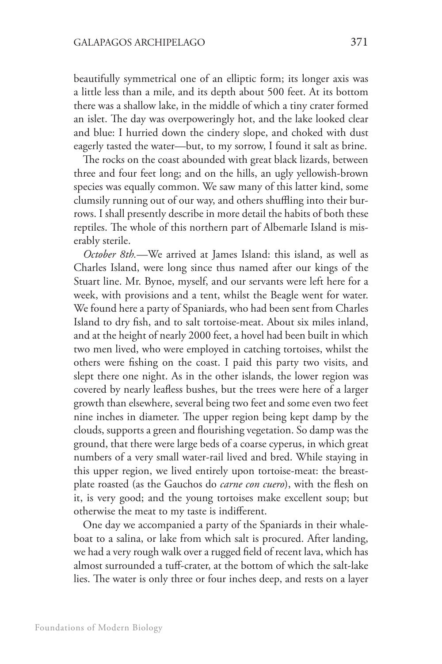beautifully symmetrical one of an elliptic form; its longer axis was a little less than a mile, and its depth about 500 feet. At its bottom there was a shallow lake, in the middle of which a tiny crater formed an islet. The day was overpoweringly hot, and the lake looked clear and blue: I hurried down the cindery slope, and choked with dust eagerly tasted the water—but, to my sorrow, I found it salt as brine.

The rocks on the coast abounded with great black lizards, between three and four feet long; and on the hills, an ugly yellowish-brown species was equally common. We saw many of this latter kind, some clumsily running out of our way, and others shuffling into their burrows. I shall presently describe in more detail the habits of both these reptiles. The whole of this northern part of Albemarle Island is miserably sterile.

*October 8th.*—We arrived at James Island: this island, as well as Charles Island, were long since thus named after our kings of the Stuart line. Mr. Bynoe, myself, and our servants were left here for a week, with provisions and a tent, whilst the Beagle went for water. We found here a party of Spaniards, who had been sent from Charles Island to dry fish, and to salt tortoise-meat. About six miles inland, and at the height of nearly 2000 feet, a hovel had been built in which two men lived, who were employed in catching tortoises, whilst the others were fishing on the coast. I paid this party two visits, and slept there one night. As in the other islands, the lower region was covered by nearly leafless bushes, but the trees were here of a larger growth than elsewhere, several being two feet and some even two feet nine inches in diameter. The upper region being kept damp by the clouds, supports a green and flourishing vegetation. So damp was the ground, that there were large beds of a coarse cyperus, in which great numbers of a very small water-rail lived and bred. While staying in this upper region, we lived entirely upon tortoise-meat: the breastplate roasted (as the Gauchos do *carne con cuero*), with the flesh on it, is very good; and the young tortoises make excellent soup; but otherwise the meat to my taste is indifferent.

One day we accompanied a party of the Spaniards in their whaleboat to a salina, or lake from which salt is procured. After landing, we had a very rough walk over a rugged field of recent lava, which has almost surrounded a tuff-crater, at the bottom of which the salt-lake lies. The water is only three or four inches deep, and rests on a layer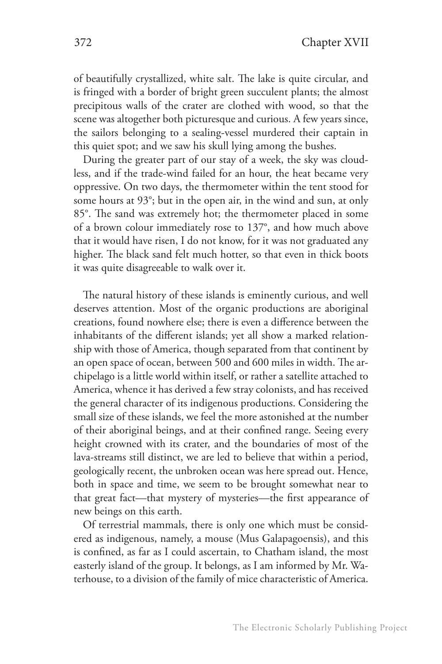of beautifully crystallized, white salt. The lake is quite circular, and is fringed with a border of bright green succulent plants; the almost precipitous walls of the crater are clothed with wood, so that the scene was altogether both picturesque and curious. A few years since, the sailors belonging to a sealing-vessel murdered their captain in this quiet spot; and we saw his skull lying among the bushes.

During the greater part of our stay of a week, the sky was cloudless, and if the trade-wind failed for an hour, the heat became very oppressive. On two days, the thermometer within the tent stood for some hours at 93°; but in the open air, in the wind and sun, at only 85°. The sand was extremely hot; the thermometer placed in some of a brown colour immediately rose to 137°, and how much above that it would have risen, I do not know, for it was not graduated any higher. The black sand felt much hotter, so that even in thick boots it was quite disagreeable to walk over it.

The natural history of these islands is eminently curious, and well deserves attention. Most of the organic productions are aboriginal creations, found nowhere else; there is even a difference between the inhabitants of the different islands; yet all show a marked relationship with those of America, though separated from that continent by an open space of ocean, between 500 and 600 miles in width. The archipelago is a little world within itself, or rather a satellite attached to America, whence it has derived a few stray colonists, and has received the general character of its indigenous productions. Considering the small size of these islands, we feel the more astonished at the number of their aboriginal beings, and at their confined range. Seeing every height crowned with its crater, and the boundaries of most of the lava-streams still distinct, we are led to believe that within a period, geologically recent, the unbroken ocean was here spread out. Hence, both in space and time, we seem to be brought somewhat near to that great fact—that mystery of mysteries—the first appearance of new beings on this earth.

Of terrestrial mammals, there is only one which must be considered as indigenous, namely, a mouse (Mus Galapagoensis), and this is confined, as far as I could ascertain, to Chatham island, the most easterly island of the group. It belongs, as I am informed by Mr. Waterhouse, to a division of the family of mice characteristic of America.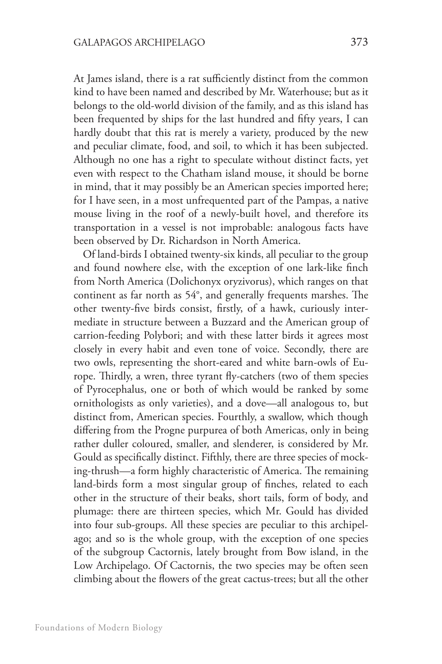At James island, there is a rat sufficiently distinct from the common kind to have been named and described by Mr. Waterhouse; but as it belongs to the old-world division of the family, and as this island has been frequented by ships for the last hundred and fifty years, I can hardly doubt that this rat is merely a variety, produced by the new and peculiar climate, food, and soil, to which it has been subjected. Although no one has a right to speculate without distinct facts, yet even with respect to the Chatham island mouse, it should be borne in mind, that it may possibly be an American species imported here; for I have seen, in a most unfrequented part of the Pampas, a native mouse living in the roof of a newly-built hovel, and therefore its transportation in a vessel is not improbable: analogous facts have been observed by Dr. Richardson in North America.

Of land-birds I obtained twenty-six kinds, all peculiar to the group and found nowhere else, with the exception of one lark-like finch from North America (Dolichonyx oryzivorus), which ranges on that continent as far north as 54°, and generally frequents marshes. The other twenty-five birds consist, firstly, of a hawk, curiously intermediate in structure between a Buzzard and the American group of carrion-feeding Polybori; and with these latter birds it agrees most closely in every habit and even tone of voice. Secondly, there are two owls, representing the short-eared and white barn-owls of Europe. Thirdly, a wren, three tyrant fly-catchers (two of them species of Pyrocephalus, one or both of which would be ranked by some ornithologists as only varieties), and a dove—all analogous to, but distinct from, American species. Fourthly, a swallow, which though differing from the Progne purpurea of both Americas, only in being rather duller coloured, smaller, and slenderer, is considered by Mr. Gould as specifically distinct. Fifthly, there are three species of mocking-thrush—a form highly characteristic of America. The remaining land-birds form a most singular group of finches, related to each other in the structure of their beaks, short tails, form of body, and plumage: there are thirteen species, which Mr. Gould has divided into four sub-groups. All these species are peculiar to this archipelago; and so is the whole group, with the exception of one species of the subgroup Cactornis, lately brought from Bow island, in the Low Archipelago. Of Cactornis, the two species may be often seen climbing about the flowers of the great cactus-trees; but all the other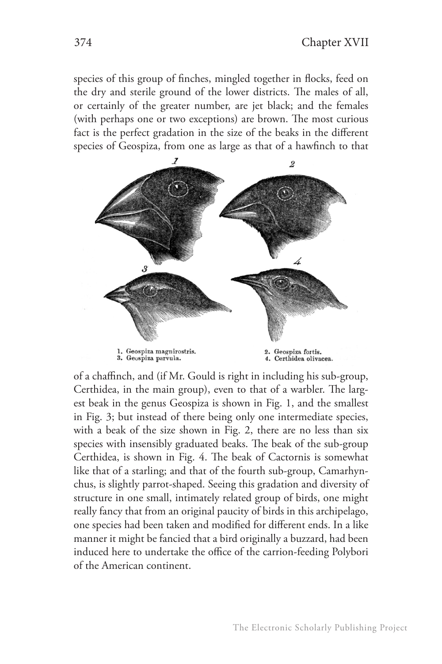species of this group of finches, mingled together in flocks, feed on the dry and sterile ground of the lower districts. The males of all, or certainly of the greater number, are jet black; and the females (with perhaps one or two exceptions) are brown. The most curious fact is the perfect gradation in the size of the beaks in the different species of Geospiza, from one as large as that of a hawfinch to that



of a chaffinch, and (if Mr. Gould is right in including his sub-group, Certhidea, in the main group), even to that of a warbler. The largest beak in the genus Geospiza is shown in Fig. 1, and the smallest in Fig. 3; but instead of there being only one intermediate species, with a beak of the size shown in Fig. 2, there are no less than six species with insensibly graduated beaks. The beak of the sub-group Certhidea, is shown in Fig. 4. The beak of Cactornis is somewhat like that of a starling; and that of the fourth sub-group, Camarhynchus, is slightly parrot-shaped. Seeing this gradation and diversity of structure in one small, intimately related group of birds, one might really fancy that from an original paucity of birds in this archipelago, one species had been taken and modified for different ends. In a like manner it might be fancied that a bird originally a buzzard, had been induced here to undertake the office of the carrion-feeding Polybori of the American continent.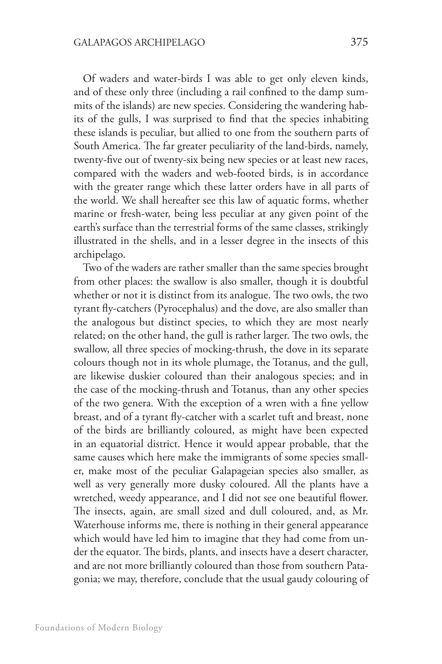Of waders and water-birds I was able to get only eleven kinds, and of these only three (including a rail confined to the damp summits of the islands) are new species. Considering the wandering habits of the gulls, I was surprised to find that the species inhabiting these islands is peculiar, but allied to one from the southern parts of South America. The far greater peculiarity of the land-birds, namely, twenty-five out of twenty-six being new species or at least new races, compared with the waders and web-footed birds, is in accordance with the greater range which these latter orders have in all parts of the world. We shall hereafter see this law of aquatic forms, whether marine or fresh-water, being less peculiar at any given point of the earth's surface than the terrestrial forms of the same classes, strikingly illustrated in the shells, and in a lesser degree in the insects of this archipelago.

Two of the waders are rather smaller than the same species brought from other places: the swallow is also smaller, though it is doubtful whether or not it is distinct from its analogue. The two owls, the two tyrant fly-catchers (Pyrocephalus) and the dove, are also smaller than the analogous but distinct species, to which they are most nearly related; on the other hand, the gull is rather larger. The two owls, the swallow, all three species of mocking-thrush, the dove in its separate colours though not in its whole plumage, the Totanus, and the gull, are likewise duskier coloured than their analogous species; and in the case of the mocking-thrush and Totanus, than any other species of the two genera. With the exception of a wren with a fine yellow breast, and of a tyrant fly-catcher with a scarlet tuft and breast, none of the birds are brilliantly coloured, as might have been expected in an equatorial district. Hence it would appear probable, that the same causes which here make the immigrants of some species smaller, make most of the peculiar Galapageian species also smaller, as well as very generally more dusky coloured. All the plants have a wretched, weedy appearance, and I did not see one beautiful flower. The insects, again, are small sized and dull coloured, and, as Mr. Waterhouse informs me, there is nothing in their general appearance which would have led him to imagine that they had come from under the equator. The birds, plants, and insects have a desert character, and are not more brilliantly coloured than those from southern Patagonia; we may, therefore, conclude that the usual gaudy colouring of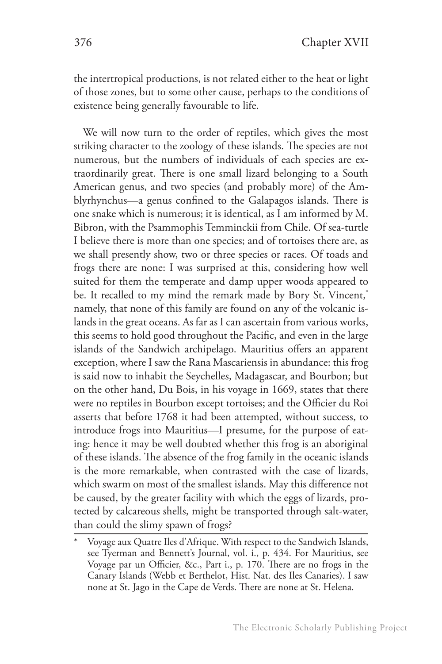the intertropical productions, is not related either to the heat or light of those zones, but to some other cause, perhaps to the conditions of existence being generally favourable to life.

We will now turn to the order of reptiles, which gives the most striking character to the zoology of these islands. The species are not numerous, but the numbers of individuals of each species are extraordinarily great. There is one small lizard belonging to a South American genus, and two species (and probably more) of the Amblyrhynchus—a genus confined to the Galapagos islands. There is one snake which is numerous; it is identical, as I am informed by M. Bibron, with the Psammophis Temminckii from Chile. Of sea-turtle I believe there is more than one species; and of tortoises there are, as we shall presently show, two or three species or races. Of toads and frogs there are none: I was surprised at this, considering how well suited for them the temperate and damp upper woods appeared to be. It recalled to my mind the remark made by Bory St. Vincent,\* namely, that none of this family are found on any of the volcanic islands in the great oceans. As far as I can ascertain from various works, this seems to hold good throughout the Pacific, and even in the large islands of the Sandwich archipelago. Mauritius offers an apparent exception, where I saw the Rana Mascariensis in abundance: this frog is said now to inhabit the Seychelles, Madagascar, and Bourbon; but on the other hand, Du Bois, in his voyage in 1669, states that there were no reptiles in Bourbon except tortoises; and the Officier du Roi asserts that before 1768 it had been attempted, without success, to introduce frogs into Mauritius—I presume, for the purpose of eating: hence it may be well doubted whether this frog is an aboriginal of these islands. The absence of the frog family in the oceanic islands is the more remarkable, when contrasted with the case of lizards, which swarm on most of the smallest islands. May this difference not be caused, by the greater facility with which the eggs of lizards, protected by calcareous shells, might be transported through salt-water, than could the slimy spawn of frogs?

Voyage aux Quatre Iles d'Afrique. With respect to the Sandwich Islands, see Tyerman and Bennett's Journal, vol. i., p. 434. For Mauritius, see Voyage par un Officier, &c., Part i., p. 170. There are no frogs in the Canary Islands (Webb et Berthelot, Hist. Nat. des Iles Canaries). I saw none at St. Jago in the Cape de Verds. There are none at St. Helena.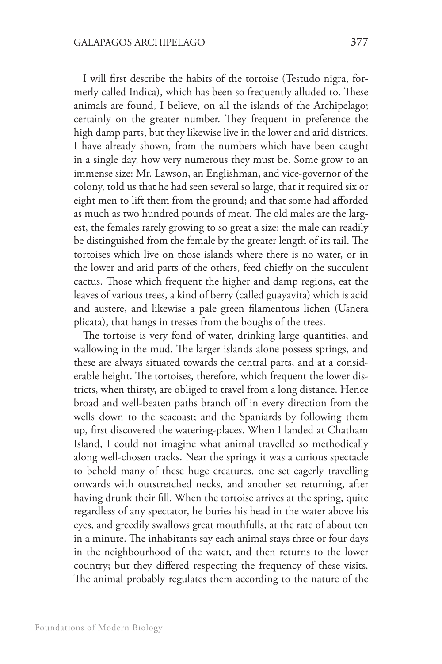I will first describe the habits of the tortoise (Testudo nigra, formerly called Indica), which has been so frequently alluded to. These animals are found, I believe, on all the islands of the Archipelago; certainly on the greater number. They frequent in preference the high damp parts, but they likewise live in the lower and arid districts. I have already shown, from the numbers which have been caught in a single day, how very numerous they must be. Some grow to an immense size: Mr. Lawson, an Englishman, and vice-governor of the colony, told us that he had seen several so large, that it required six or eight men to lift them from the ground; and that some had afforded as much as two hundred pounds of meat. The old males are the largest, the females rarely growing to so great a size: the male can readily be distinguished from the female by the greater length of its tail. The tortoises which live on those islands where there is no water, or in the lower and arid parts of the others, feed chiefly on the succulent cactus. Those which frequent the higher and damp regions, eat the leaves of various trees, a kind of berry (called guayavita) which is acid and austere, and likewise a pale green filamentous lichen (Usnera plicata), that hangs in tresses from the boughs of the trees.

The tortoise is very fond of water, drinking large quantities, and wallowing in the mud. The larger islands alone possess springs, and these are always situated towards the central parts, and at a considerable height. The tortoises, therefore, which frequent the lower districts, when thirsty, are obliged to travel from a long distance. Hence broad and well-beaten paths branch off in every direction from the wells down to the seacoast; and the Spaniards by following them up, first discovered the watering-places. When I landed at Chatham Island, I could not imagine what animal travelled so methodically along well-chosen tracks. Near the springs it was a curious spectacle to behold many of these huge creatures, one set eagerly travelling onwards with outstretched necks, and another set returning, after having drunk their fill. When the tortoise arrives at the spring, quite regardless of any spectator, he buries his head in the water above his eyes, and greedily swallows great mouthfulls, at the rate of about ten in a minute. The inhabitants say each animal stays three or four days in the neighbourhood of the water, and then returns to the lower country; but they differed respecting the frequency of these visits. The animal probably regulates them according to the nature of the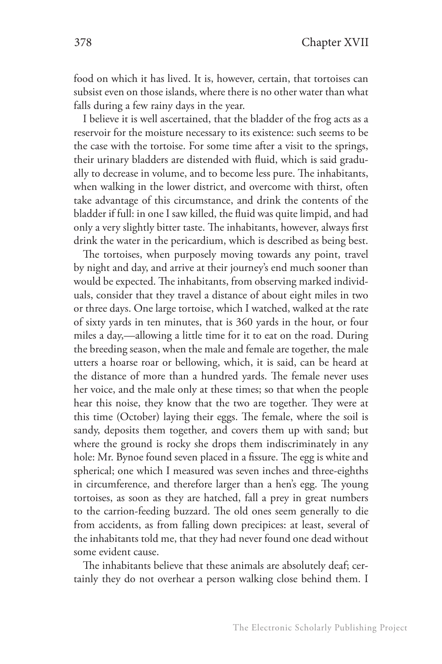food on which it has lived. It is, however, certain, that tortoises can subsist even on those islands, where there is no other water than what falls during a few rainy days in the year.

I believe it is well ascertained, that the bladder of the frog acts as a reservoir for the moisture necessary to its existence: such seems to be the case with the tortoise. For some time after a visit to the springs, their urinary bladders are distended with fluid, which is said gradually to decrease in volume, and to become less pure. The inhabitants, when walking in the lower district, and overcome with thirst, often take advantage of this circumstance, and drink the contents of the bladder if full: in one I saw killed, the fluid was quite limpid, and had only a very slightly bitter taste. The inhabitants, however, always first drink the water in the pericardium, which is described as being best.

The tortoises, when purposely moving towards any point, travel by night and day, and arrive at their journey's end much sooner than would be expected. The inhabitants, from observing marked individuals, consider that they travel a distance of about eight miles in two or three days. One large tortoise, which I watched, walked at the rate of sixty yards in ten minutes, that is 360 yards in the hour, or four miles a day,—allowing a little time for it to eat on the road. During the breeding season, when the male and female are together, the male utters a hoarse roar or bellowing, which, it is said, can be heard at the distance of more than a hundred yards. The female never uses her voice, and the male only at these times; so that when the people hear this noise, they know that the two are together. They were at this time (October) laying their eggs. The female, where the soil is sandy, deposits them together, and covers them up with sand; but where the ground is rocky she drops them indiscriminately in any hole: Mr. Bynoe found seven placed in a fissure. The egg is white and spherical; one which I measured was seven inches and three-eighths in circumference, and therefore larger than a hen's egg. The young tortoises, as soon as they are hatched, fall a prey in great numbers to the carrion-feeding buzzard. The old ones seem generally to die from accidents, as from falling down precipices: at least, several of the inhabitants told me, that they had never found one dead without some evident cause.

The inhabitants believe that these animals are absolutely deaf; certainly they do not overhear a person walking close behind them. I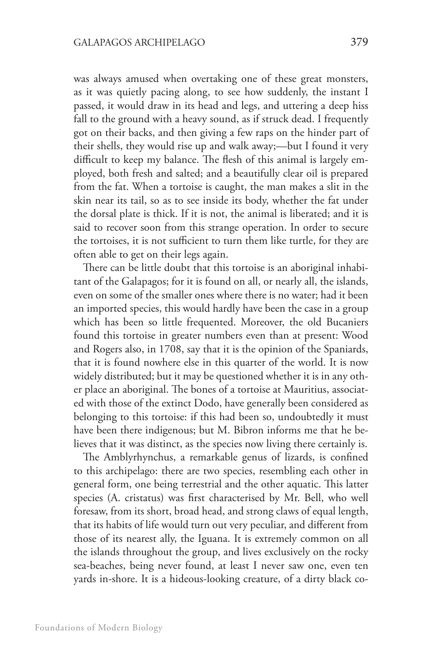was always amused when overtaking one of these great monsters, as it was quietly pacing along, to see how suddenly, the instant I passed, it would draw in its head and legs, and uttering a deep hiss fall to the ground with a heavy sound, as if struck dead. I frequently got on their backs, and then giving a few raps on the hinder part of their shells, they would rise up and walk away;—but I found it very difficult to keep my balance. The flesh of this animal is largely employed, both fresh and salted; and a beautifully clear oil is prepared from the fat. When a tortoise is caught, the man makes a slit in the skin near its tail, so as to see inside its body, whether the fat under the dorsal plate is thick. If it is not, the animal is liberated; and it is said to recover soon from this strange operation. In order to secure the tortoises, it is not sufficient to turn them like turtle, for they are often able to get on their legs again.

There can be little doubt that this tortoise is an aboriginal inhabitant of the Galapagos; for it is found on all, or nearly all, the islands, even on some of the smaller ones where there is no water; had it been an imported species, this would hardly have been the case in a group which has been so little frequented. Moreover, the old Bucaniers found this tortoise in greater numbers even than at present: Wood and Rogers also, in 1708, say that it is the opinion of the Spaniards, that it is found nowhere else in this quarter of the world. It is now widely distributed; but it may be questioned whether it is in any other place an aboriginal. The bones of a tortoise at Mauritius, associated with those of the extinct Dodo, have generally been considered as belonging to this tortoise: if this had been so, undoubtedly it must have been there indigenous; but M. Bibron informs me that he believes that it was distinct, as the species now living there certainly is.

The Amblyrhynchus, a remarkable genus of lizards, is confined to this archipelago: there are two species, resembling each other in general form, one being terrestrial and the other aquatic. This latter species (A. cristatus) was first characterised by Mr. Bell, who well foresaw, from its short, broad head, and strong claws of equal length, that its habits of life would turn out very peculiar, and different from those of its nearest ally, the Iguana. It is extremely common on all the islands throughout the group, and lives exclusively on the rocky sea-beaches, being never found, at least I never saw one, even ten yards in-shore. It is a hideous-looking creature, of a dirty black co-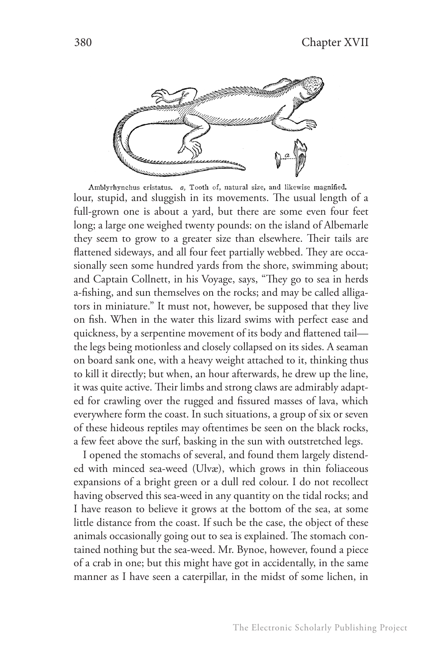

Amblyrhynchus cristatus. a, Tooth of, natural size, and likewise magnified. lour, stupid, and sluggish in its movements. The usual length of a full-grown one is about a yard, but there are some even four feet long; a large one weighed twenty pounds: on the island of Albemarle they seem to grow to a greater size than elsewhere. Their tails are flattened sideways, and all four feet partially webbed. They are occasionally seen some hundred yards from the shore, swimming about; and Captain Collnett, in his Voyage, says, "They go to sea in herds a-fishing, and sun themselves on the rocks; and may be called alligators in miniature." It must not, however, be supposed that they live on fish. When in the water this lizard swims with perfect ease and quickness, by a serpentine movement of its body and flattened tail the legs being motionless and closely collapsed on its sides. A seaman on board sank one, with a heavy weight attached to it, thinking thus to kill it directly; but when, an hour afterwards, he drew up the line, it was quite active. Their limbs and strong claws are admirably adapted for crawling over the rugged and fissured masses of lava, which everywhere form the coast. In such situations, a group of six or seven of these hideous reptiles may oftentimes be seen on the black rocks, a few feet above the surf, basking in the sun with outstretched legs.

I opened the stomachs of several, and found them largely distended with minced sea-weed (Ulvæ), which grows in thin foliaceous expansions of a bright green or a dull red colour. I do not recollect having observed this sea-weed in any quantity on the tidal rocks; and I have reason to believe it grows at the bottom of the sea, at some little distance from the coast. If such be the case, the object of these animals occasionally going out to sea is explained. The stomach contained nothing but the sea-weed. Mr. Bynoe, however, found a piece of a crab in one; but this might have got in accidentally, in the same manner as I have seen a caterpillar, in the midst of some lichen, in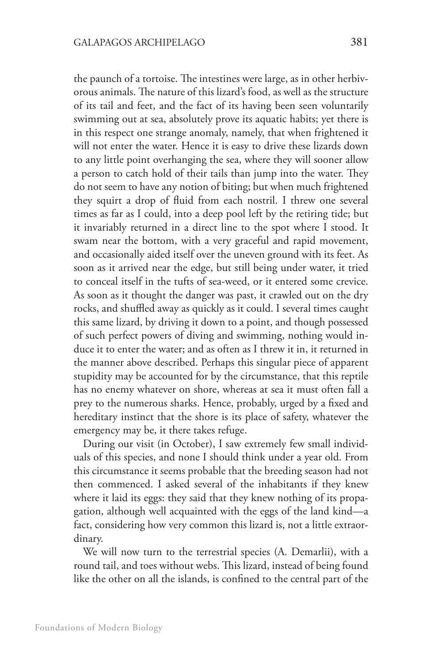the paunch of a tortoise. The intestines were large, as in other herbivorous animals. The nature of this lizard's food, as well as the structure of its tail and feet, and the fact of its having been seen voluntarily swimming out at sea, absolutely prove its aquatic habits; yet there is in this respect one strange anomaly, namely, that when frightened it will not enter the water. Hence it is easy to drive these lizards down to any little point overhanging the sea, where they will sooner allow a person to catch hold of their tails than jump into the water. They do not seem to have any notion of biting; but when much frightened they squirt a drop of fluid from each nostril. I threw one several times as far as I could, into a deep pool left by the retiring tide; but it invariably returned in a direct line to the spot where I stood. It swam near the bottom, with a very graceful and rapid movement, and occasionally aided itself over the uneven ground with its feet. As soon as it arrived near the edge, but still being under water, it tried to conceal itself in the tufts of sea-weed, or it entered some crevice. As soon as it thought the danger was past, it crawled out on the dry rocks, and shuffled away as quickly as it could. I several times caught this same lizard, by driving it down to a point, and though possessed of such perfect powers of diving and swimming, nothing would induce it to enter the water; and as often as I threw it in, it returned in the manner above described. Perhaps this singular piece of apparent stupidity may be accounted for by the circumstance, that this reptile has no enemy whatever on shore, whereas at sea it must often fall a prey to the numerous sharks. Hence, probably, urged by a fixed and hereditary instinct that the shore is its place of safety, whatever the emergency may be, it there takes refuge.

During our visit (in October), I saw extremely few small individuals of this species, and none I should think under a year old. From this circumstance it seems probable that the breeding season had not then commenced. I asked several of the inhabitants if they knew where it laid its eggs: they said that they knew nothing of its propagation, although well acquainted with the eggs of the land kind—a fact, considering how very common this lizard is, not a little extraordinary.

We will now turn to the terrestrial species (A. Demarlii), with a round tail, and toes without webs. This lizard, instead of being found like the other on all the islands, is confined to the central part of the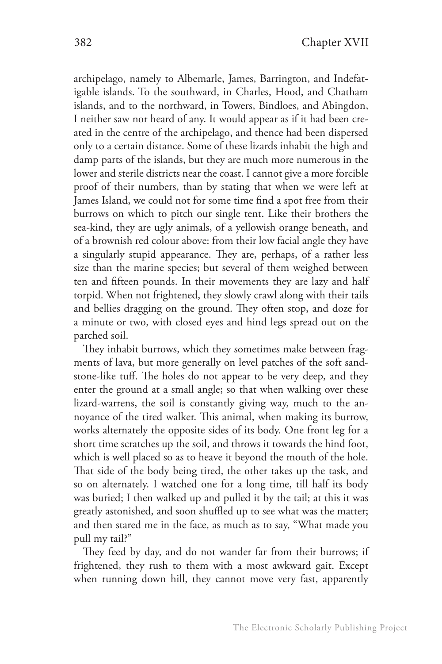archipelago, namely to Albemarle, James, Barrington, and Indefatigable islands. To the southward, in Charles, Hood, and Chatham islands, and to the northward, in Towers, Bindloes, and Abingdon, I neither saw nor heard of any. It would appear as if it had been created in the centre of the archipelago, and thence had been dispersed only to a certain distance. Some of these lizards inhabit the high and damp parts of the islands, but they are much more numerous in the lower and sterile districts near the coast. I cannot give a more forcible proof of their numbers, than by stating that when we were left at James Island, we could not for some time find a spot free from their burrows on which to pitch our single tent. Like their brothers the sea-kind, they are ugly animals, of a yellowish orange beneath, and of a brownish red colour above: from their low facial angle they have a singularly stupid appearance. They are, perhaps, of a rather less size than the marine species; but several of them weighed between ten and fifteen pounds. In their movements they are lazy and half torpid. When not frightened, they slowly crawl along with their tails and bellies dragging on the ground. They often stop, and doze for a minute or two, with closed eyes and hind legs spread out on the parched soil.

They inhabit burrows, which they sometimes make between fragments of lava, but more generally on level patches of the soft sandstone-like tuff. The holes do not appear to be very deep, and they enter the ground at a small angle; so that when walking over these lizard-warrens, the soil is constantly giving way, much to the annoyance of the tired walker. This animal, when making its burrow, works alternately the opposite sides of its body. One front leg for a short time scratches up the soil, and throws it towards the hind foot, which is well placed so as to heave it beyond the mouth of the hole. That side of the body being tired, the other takes up the task, and so on alternately. I watched one for a long time, till half its body was buried; I then walked up and pulled it by the tail; at this it was greatly astonished, and soon shuffled up to see what was the matter; and then stared me in the face, as much as to say, "What made you pull my tail?"

They feed by day, and do not wander far from their burrows; if frightened, they rush to them with a most awkward gait. Except when running down hill, they cannot move very fast, apparently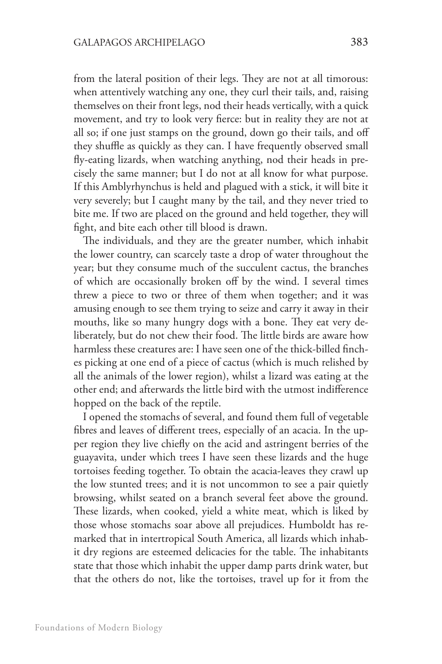from the lateral position of their legs. They are not at all timorous: when attentively watching any one, they curl their tails, and, raising themselves on their front legs, nod their heads vertically, with a quick movement, and try to look very fierce: but in reality they are not at all so; if one just stamps on the ground, down go their tails, and off they shuffle as quickly as they can. I have frequently observed small fly-eating lizards, when watching anything, nod their heads in precisely the same manner; but I do not at all know for what purpose. If this Amblyrhynchus is held and plagued with a stick, it will bite it very severely; but I caught many by the tail, and they never tried to bite me. If two are placed on the ground and held together, they will fight, and bite each other till blood is drawn.

The individuals, and they are the greater number, which inhabit the lower country, can scarcely taste a drop of water throughout the year; but they consume much of the succulent cactus, the branches of which are occasionally broken off by the wind. I several times threw a piece to two or three of them when together; and it was amusing enough to see them trying to seize and carry it away in their mouths, like so many hungry dogs with a bone. They eat very deliberately, but do not chew their food. The little birds are aware how harmless these creatures are: I have seen one of the thick-billed finches picking at one end of a piece of cactus (which is much relished by all the animals of the lower region), whilst a lizard was eating at the other end; and afterwards the little bird with the utmost indifference hopped on the back of the reptile.

I opened the stomachs of several, and found them full of vegetable fibres and leaves of different trees, especially of an acacia. In the upper region they live chiefly on the acid and astringent berries of the guayavita, under which trees I have seen these lizards and the huge tortoises feeding together. To obtain the acacia-leaves they crawl up the low stunted trees; and it is not uncommon to see a pair quietly browsing, whilst seated on a branch several feet above the ground. These lizards, when cooked, yield a white meat, which is liked by those whose stomachs soar above all prejudices. Humboldt has remarked that in intertropical South America, all lizards which inhabit dry regions are esteemed delicacies for the table. The inhabitants state that those which inhabit the upper damp parts drink water, but that the others do not, like the tortoises, travel up for it from the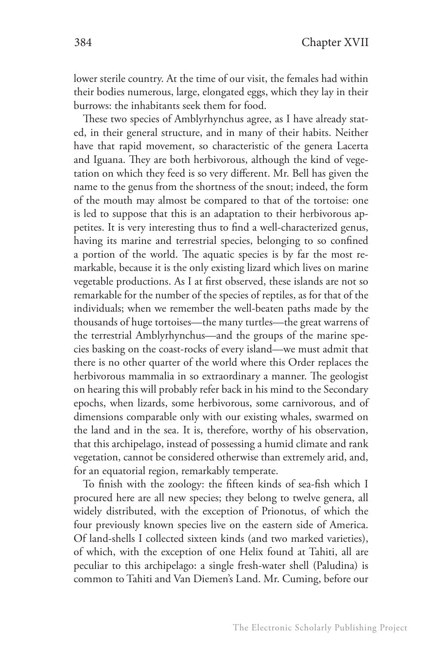lower sterile country. At the time of our visit, the females had within their bodies numerous, large, elongated eggs, which they lay in their burrows: the inhabitants seek them for food.

These two species of Amblyrhynchus agree, as I have already stated, in their general structure, and in many of their habits. Neither have that rapid movement, so characteristic of the genera Lacerta and Iguana. They are both herbivorous, although the kind of vegetation on which they feed is so very different. Mr. Bell has given the name to the genus from the shortness of the snout; indeed, the form of the mouth may almost be compared to that of the tortoise: one is led to suppose that this is an adaptation to their herbivorous appetites. It is very interesting thus to find a well-characterized genus, having its marine and terrestrial species, belonging to so confined a portion of the world. The aquatic species is by far the most remarkable, because it is the only existing lizard which lives on marine vegetable productions. As I at first observed, these islands are not so remarkable for the number of the species of reptiles, as for that of the individuals; when we remember the well-beaten paths made by the thousands of huge tortoises—the many turtles—the great warrens of the terrestrial Amblyrhynchus—and the groups of the marine species basking on the coast-rocks of every island—we must admit that there is no other quarter of the world where this Order replaces the herbivorous mammalia in so extraordinary a manner. The geologist on hearing this will probably refer back in his mind to the Secondary epochs, when lizards, some herbivorous, some carnivorous, and of dimensions comparable only with our existing whales, swarmed on the land and in the sea. It is, therefore, worthy of his observation, that this archipelago, instead of possessing a humid climate and rank vegetation, cannot be considered otherwise than extremely arid, and, for an equatorial region, remarkably temperate.

To finish with the zoology: the fifteen kinds of sea-fish which I procured here are all new species; they belong to twelve genera, all widely distributed, with the exception of Prionotus, of which the four previously known species live on the eastern side of America. Of land-shells I collected sixteen kinds (and two marked varieties), of which, with the exception of one Helix found at Tahiti, all are peculiar to this archipelago: a single fresh-water shell (Paludina) is common to Tahiti and Van Diemen's Land. Mr. Cuming, before our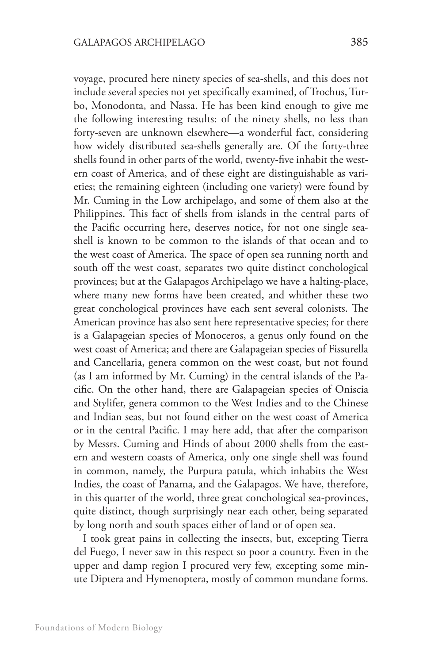voyage, procured here ninety species of sea-shells, and this does not include several species not yet specifically examined, of Trochus, Turbo, Monodonta, and Nassa. He has been kind enough to give me the following interesting results: of the ninety shells, no less than forty-seven are unknown elsewhere—a wonderful fact, considering how widely distributed sea-shells generally are. Of the forty-three shells found in other parts of the world, twenty-five inhabit the western coast of America, and of these eight are distinguishable as varieties; the remaining eighteen (including one variety) were found by Mr. Cuming in the Low archipelago, and some of them also at the Philippines. This fact of shells from islands in the central parts of the Pacific occurring here, deserves notice, for not one single seashell is known to be common to the islands of that ocean and to the west coast of America. The space of open sea running north and south off the west coast, separates two quite distinct conchological provinces; but at the Galapagos Archipelago we have a halting-place, where many new forms have been created, and whither these two great conchological provinces have each sent several colonists. The American province has also sent here representative species; for there is a Galapageian species of Monoceros, a genus only found on the west coast of America; and there are Galapageian species of Fissurella and Cancellaria, genera common on the west coast, but not found (as I am informed by Mr. Cuming) in the central islands of the Pacific. On the other hand, there are Galapageian species of Oniscia and Stylifer, genera common to the West Indies and to the Chinese and Indian seas, but not found either on the west coast of America or in the central Pacific. I may here add, that after the comparison by Messrs. Cuming and Hinds of about 2000 shells from the eastern and western coasts of America, only one single shell was found in common, namely, the Purpura patula, which inhabits the West Indies, the coast of Panama, and the Galapagos. We have, therefore, in this quarter of the world, three great conchological sea-provinces, quite distinct, though surprisingly near each other, being separated by long north and south spaces either of land or of open sea.

I took great pains in collecting the insects, but, excepting Tierra del Fuego, I never saw in this respect so poor a country. Even in the upper and damp region I procured very few, excepting some minute Diptera and Hymenoptera, mostly of common mundane forms.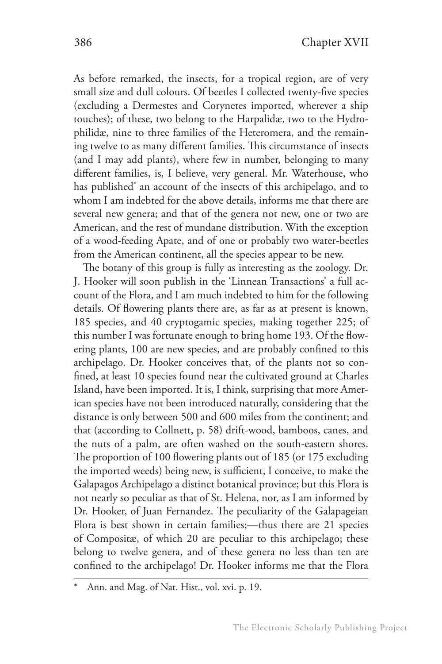As before remarked, the insects, for a tropical region, are of very small size and dull colours. Of beetles I collected twenty-five species (excluding a Dermestes and Corynetes imported, wherever a ship touches); of these, two belong to the Harpalidæ, two to the Hydrophilidæ, nine to three families of the Heteromera, and the remaining twelve to as many different families. This circumstance of insects (and I may add plants), where few in number, belonging to many different families, is, I believe, very general. Mr. Waterhouse, who has published\* an account of the insects of this archipelago, and to whom I am indebted for the above details, informs me that there are several new genera; and that of the genera not new, one or two are American, and the rest of mundane distribution. With the exception of a wood-feeding Apate, and of one or probably two water-beetles from the American continent, all the species appear to be new.

The botany of this group is fully as interesting as the zoology. Dr. J. Hooker will soon publish in the 'Linnean Transactions' a full account of the Flora, and I am much indebted to him for the following details. Of flowering plants there are, as far as at present is known, 185 species, and 40 cryptogamic species, making together 225; of this number I was fortunate enough to bring home 193. Of the flowering plants, 100 are new species, and are probably confined to this archipelago. Dr. Hooker conceives that, of the plants not so confined, at least 10 species found near the cultivated ground at Charles Island, have been imported. It is, I think, surprising that more American species have not been introduced naturally, considering that the distance is only between 500 and 600 miles from the continent; and that (according to Collnett, p. 58) drift-wood, bamboos, canes, and the nuts of a palm, are often washed on the south-eastern shores. The proportion of 100 flowering plants out of 185 (or 175 excluding the imported weeds) being new, is sufficient, I conceive, to make the Galapagos Archipelago a distinct botanical province; but this Flora is not nearly so peculiar as that of St. Helena, nor, as I am informed by Dr. Hooker, of Juan Fernandez. The peculiarity of the Galapageian Flora is best shown in certain families;—thus there are 21 species of Compositæ, of which 20 are peculiar to this archipelago; these belong to twelve genera, and of these genera no less than ten are confined to the archipelago! Dr. Hooker informs me that the Flora

Ann. and Mag. of Nat. Hist., vol. xvi. p. 19.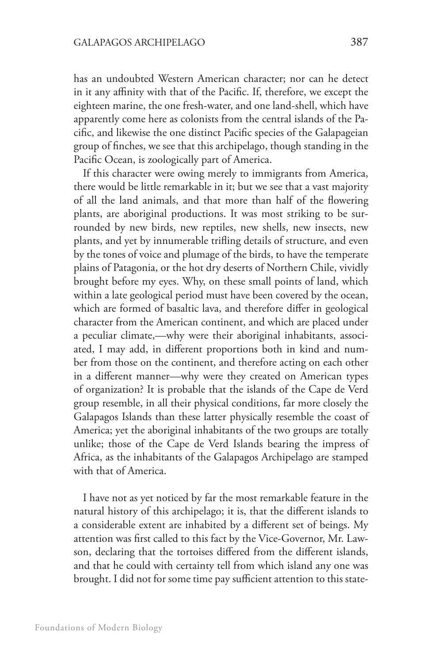has an undoubted Western American character; nor can he detect in it any affinity with that of the Pacific. If, therefore, we except the eighteen marine, the one fresh-water, and one land-shell, which have apparently come here as colonists from the central islands of the Pacific, and likewise the one distinct Pacific species of the Galapageian group of finches, we see that this archipelago, though standing in the Pacific Ocean, is zoologically part of America.

If this character were owing merely to immigrants from America, there would be little remarkable in it; but we see that a vast majority of all the land animals, and that more than half of the flowering plants, are aboriginal productions. It was most striking to be surrounded by new birds, new reptiles, new shells, new insects, new plants, and yet by innumerable trifling details of structure, and even by the tones of voice and plumage of the birds, to have the temperate plains of Patagonia, or the hot dry deserts of Northern Chile, vividly brought before my eyes. Why, on these small points of land, which within a late geological period must have been covered by the ocean, which are formed of basaltic lava, and therefore differ in geological character from the American continent, and which are placed under a peculiar climate,—why were their aboriginal inhabitants, associated, I may add, in different proportions both in kind and number from those on the continent, and therefore acting on each other in a different manner—why were they created on American types of organization? It is probable that the islands of the Cape de Verd group resemble, in all their physical conditions, far more closely the Galapagos Islands than these latter physically resemble the coast of America; yet the aboriginal inhabitants of the two groups are totally unlike; those of the Cape de Verd Islands bearing the impress of Africa, as the inhabitants of the Galapagos Archipelago are stamped with that of America.

I have not as yet noticed by far the most remarkable feature in the natural history of this archipelago; it is, that the different islands to a considerable extent are inhabited by a different set of beings. My attention was first called to this fact by the Vice-Governor, Mr. Lawson, declaring that the tortoises differed from the different islands, and that he could with certainty tell from which island any one was brought. I did not for some time pay sufficient attention to this state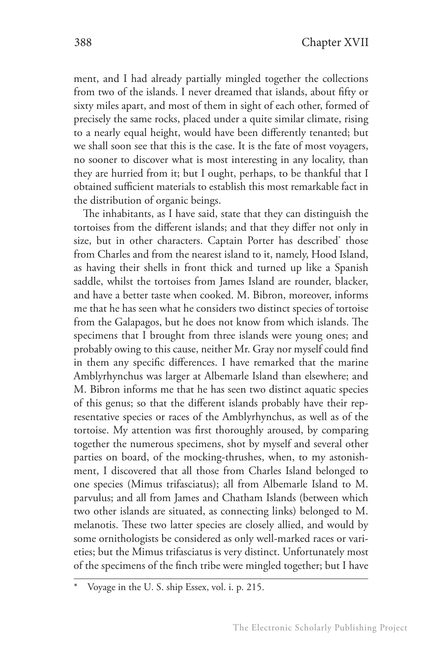ment, and I had already partially mingled together the collections from two of the islands. I never dreamed that islands, about fifty or sixty miles apart, and most of them in sight of each other, formed of precisely the same rocks, placed under a quite similar climate, rising to a nearly equal height, would have been differently tenanted; but we shall soon see that this is the case. It is the fate of most voyagers, no sooner to discover what is most interesting in any locality, than they are hurried from it; but I ought, perhaps, to be thankful that I obtained sufficient materials to establish this most remarkable fact in the distribution of organic beings.

The inhabitants, as I have said, state that they can distinguish the tortoises from the different islands; and that they differ not only in size, but in other characters. Captain Porter has described\* those from Charles and from the nearest island to it, namely, Hood Island, as having their shells in front thick and turned up like a Spanish saddle, whilst the tortoises from James Island are rounder, blacker, and have a better taste when cooked. M. Bibron, moreover, informs me that he has seen what he considers two distinct species of tortoise from the Galapagos, but he does not know from which islands. The specimens that I brought from three islands were young ones; and probably owing to this cause, neither Mr. Gray nor myself could find in them any specific differences. I have remarked that the marine Amblyrhynchus was larger at Albemarle Island than elsewhere; and M. Bibron informs me that he has seen two distinct aquatic species of this genus; so that the different islands probably have their representative species or races of the Amblyrhynchus, as well as of the tortoise. My attention was first thoroughly aroused, by comparing together the numerous specimens, shot by myself and several other parties on board, of the mocking-thrushes, when, to my astonishment, I discovered that all those from Charles Island belonged to one species (Mimus trifasciatus); all from Albemarle Island to M. parvulus; and all from James and Chatham Islands (between which two other islands are situated, as connecting links) belonged to M. melanotis. These two latter species are closely allied, and would by some ornithologists be considered as only well-marked races or varieties; but the Mimus trifasciatus is very distinct. Unfortunately most of the specimens of the finch tribe were mingled together; but I have

Voyage in the U. S. ship Essex, vol. i. p. 215.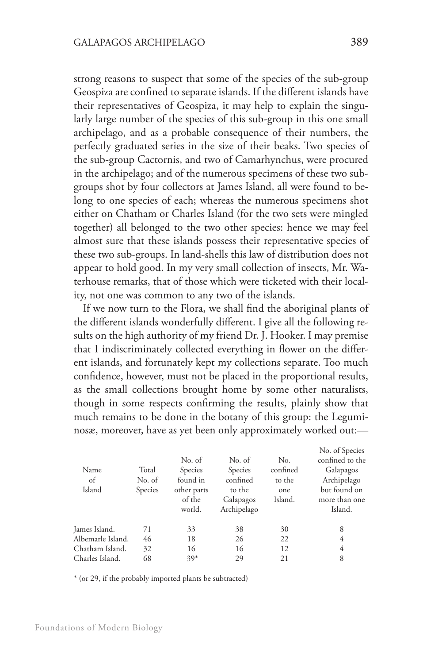strong reasons to suspect that some of the species of the sub-group Geospiza are confined to separate islands. If the different islands have their representatives of Geospiza, it may help to explain the singularly large number of the species of this sub-group in this one small archipelago, and as a probable consequence of their numbers, the perfectly graduated series in the size of their beaks. Two species of the sub-group Cactornis, and two of Camarhynchus, were procured in the archipelago; and of the numerous specimens of these two subgroups shot by four collectors at James Island, all were found to belong to one species of each; whereas the numerous specimens shot either on Chatham or Charles Island (for the two sets were mingled together) all belonged to the two other species: hence we may feel almost sure that these islands possess their representative species of these two sub-groups. In land-shells this law of distribution does not appear to hold good. In my very small collection of insects, Mr. Waterhouse remarks, that of those which were ticketed with their locality, not one was common to any two of the islands.

If we now turn to the Flora, we shall find the aboriginal plants of the different islands wonderfully different. I give all the following results on the high authority of my friend Dr. J. Hooker. I may premise that I indiscriminately collected everything in flower on the different islands, and fortunately kept my collections separate. Too much confidence, however, must not be placed in the proportional results, as the small collections brought home by some other naturalists, though in some respects confirming the results, plainly show that much remains to be done in the botany of this group: the Leguminosæ, moreover, have as yet been only approximately worked out:—

|                   |         |             |             |          | No. of Species  |
|-------------------|---------|-------------|-------------|----------|-----------------|
|                   |         | No. of      | No. of      | No.      | confined to the |
| Name              | Total   | Species     | Species     | confined | Galapagos       |
| of                | No. of  | found in    | confined    | to the   | Archipelago     |
| Island            | Species | other parts | to the      | one      | but found on    |
|                   |         | of the      | Galapagos   | Island.  | more than one   |
|                   |         | world.      | Archipelago |          | Island.         |
| James Island.     | 71      | 33          | 38          | 30       | 8               |
| Albemarle Island. | 46      | 18          | 26          | 22       | 4               |
| Chatham Island.   | 32      | 16          | 16          | 12       | 4               |
| Charles Island.   | 68      | $39*$       | 29          | 21       | 8               |
|                   |         |             |             |          |                 |

\* (or 29, if the probably imported plants be subtracted)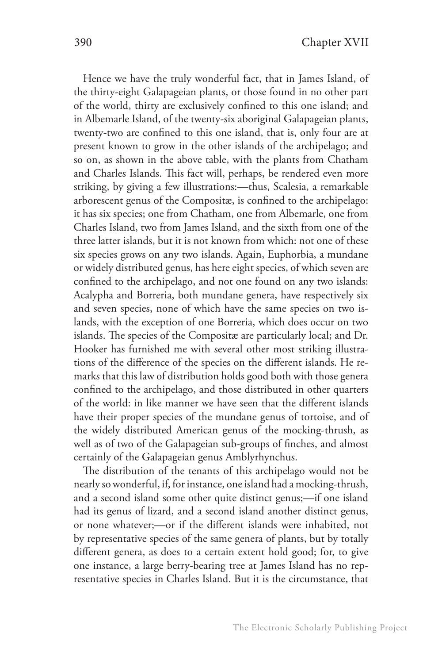Hence we have the truly wonderful fact, that in James Island, of the thirty-eight Galapageian plants, or those found in no other part of the world, thirty are exclusively confined to this one island; and in Albemarle Island, of the twenty-six aboriginal Galapageian plants, twenty-two are confined to this one island, that is, only four are at present known to grow in the other islands of the archipelago; and so on, as shown in the above table, with the plants from Chatham and Charles Islands. This fact will, perhaps, be rendered even more striking, by giving a few illustrations:—thus, Scalesia, a remarkable arborescent genus of the Compositæ, is confined to the archipelago: it has six species; one from Chatham, one from Albemarle, one from Charles Island, two from James Island, and the sixth from one of the three latter islands, but it is not known from which: not one of these six species grows on any two islands. Again, Euphorbia, a mundane or widely distributed genus, has here eight species, of which seven are confined to the archipelago, and not one found on any two islands: Acalypha and Borreria, both mundane genera, have respectively six and seven species, none of which have the same species on two islands, with the exception of one Borreria, which does occur on two islands. The species of the Compositæ are particularly local; and Dr. Hooker has furnished me with several other most striking illustrations of the difference of the species on the different islands. He remarks that this law of distribution holds good both with those genera confined to the archipelago, and those distributed in other quarters of the world: in like manner we have seen that the different islands have their proper species of the mundane genus of tortoise, and of the widely distributed American genus of the mocking-thrush, as well as of two of the Galapageian sub-groups of finches, and almost certainly of the Galapageian genus Amblyrhynchus.

The distribution of the tenants of this archipelago would not be nearly so wonderful, if, for instance, one island had a mocking-thrush, and a second island some other quite distinct genus;—if one island had its genus of lizard, and a second island another distinct genus, or none whatever;—or if the different islands were inhabited, not by representative species of the same genera of plants, but by totally different genera, as does to a certain extent hold good; for, to give one instance, a large berry-bearing tree at James Island has no representative species in Charles Island. But it is the circumstance, that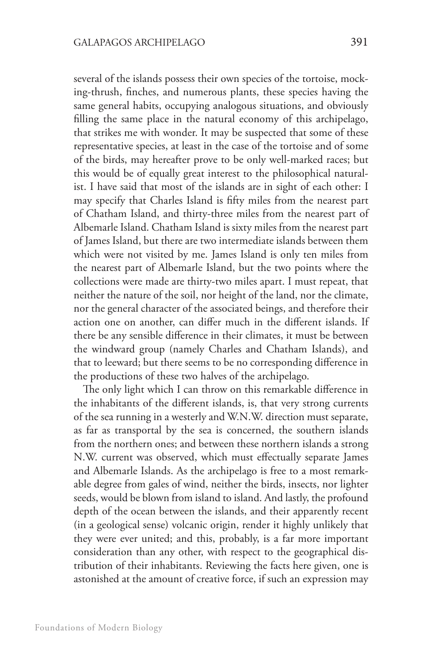several of the islands possess their own species of the tortoise, mocking-thrush, finches, and numerous plants, these species having the same general habits, occupying analogous situations, and obviously filling the same place in the natural economy of this archipelago, that strikes me with wonder. It may be suspected that some of these representative species, at least in the case of the tortoise and of some of the birds, may hereafter prove to be only well-marked races; but this would be of equally great interest to the philosophical naturalist. I have said that most of the islands are in sight of each other: I may specify that Charles Island is fifty miles from the nearest part of Chatham Island, and thirty-three miles from the nearest part of Albemarle Island. Chatham Island is sixty miles from the nearest part of James Island, but there are two intermediate islands between them which were not visited by me. James Island is only ten miles from the nearest part of Albemarle Island, but the two points where the collections were made are thirty-two miles apart. I must repeat, that neither the nature of the soil, nor height of the land, nor the climate, nor the general character of the associated beings, and therefore their action one on another, can differ much in the different islands. If there be any sensible difference in their climates, it must be between the windward group (namely Charles and Chatham Islands), and that to leeward; but there seems to be no corresponding difference in the productions of these two halves of the archipelago.

The only light which I can throw on this remarkable difference in the inhabitants of the different islands, is, that very strong currents of the sea running in a westerly and W.N.W. direction must separate, as far as transportal by the sea is concerned, the southern islands from the northern ones; and between these northern islands a strong N.W. current was observed, which must effectually separate James and Albemarle Islands. As the archipelago is free to a most remarkable degree from gales of wind, neither the birds, insects, nor lighter seeds, would be blown from island to island. And lastly, the profound depth of the ocean between the islands, and their apparently recent (in a geological sense) volcanic origin, render it highly unlikely that they were ever united; and this, probably, is a far more important consideration than any other, with respect to the geographical distribution of their inhabitants. Reviewing the facts here given, one is astonished at the amount of creative force, if such an expression may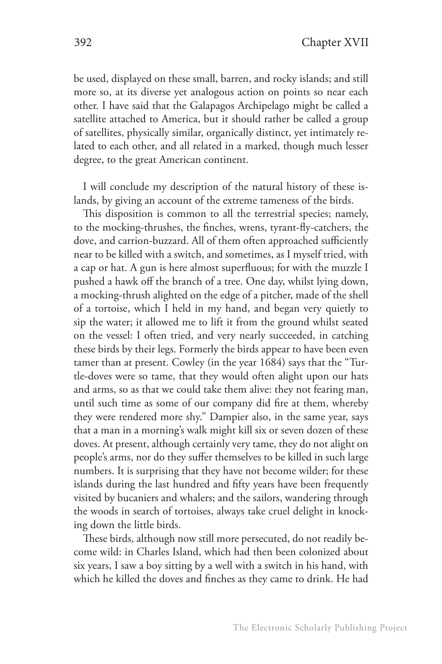be used, displayed on these small, barren, and rocky islands; and still more so, at its diverse yet analogous action on points so near each other. I have said that the Galapagos Archipelago might be called a satellite attached to America, but it should rather be called a group of satellites, physically similar, organically distinct, yet intimately related to each other, and all related in a marked, though much lesser degree, to the great American continent.

I will conclude my description of the natural history of these islands, by giving an account of the extreme tameness of the birds.

This disposition is common to all the terrestrial species; namely, to the mocking-thrushes, the finches, wrens, tyrant-fly-catchers, the dove, and carrion-buzzard. All of them often approached sufficiently near to be killed with a switch, and sometimes, as I myself tried, with a cap or hat. A gun is here almost superfluous; for with the muzzle I pushed a hawk off the branch of a tree. One day, whilst lying down, a mocking-thrush alighted on the edge of a pitcher, made of the shell of a tortoise, which I held in my hand, and began very quietly to sip the water; it allowed me to lift it from the ground whilst seated on the vessel: I often tried, and very nearly succeeded, in catching these birds by their legs. Formerly the birds appear to have been even tamer than at present. Cowley (in the year 1684) says that the "Turtle-doves were so tame, that they would often alight upon our hats and arms, so as that we could take them alive: they not fearing man, until such time as some of our company did fire at them, whereby they were rendered more shy." Dampier also, in the same year, says that a man in a morning's walk might kill six or seven dozen of these doves. At present, although certainly very tame, they do not alight on people's arms, nor do they suffer themselves to be killed in such large numbers. It is surprising that they have not become wilder; for these islands during the last hundred and fifty years have been frequently visited by bucaniers and whalers; and the sailors, wandering through the woods in search of tortoises, always take cruel delight in knocking down the little birds.

These birds, although now still more persecuted, do not readily become wild: in Charles Island, which had then been colonized about six years, I saw a boy sitting by a well with a switch in his hand, with which he killed the doves and finches as they came to drink. He had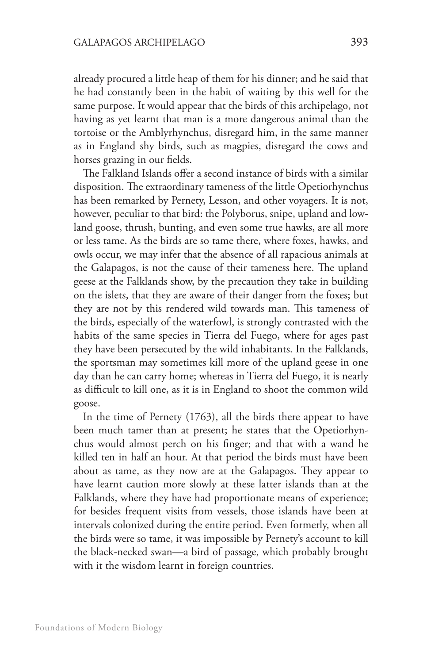already procured a little heap of them for his dinner; and he said that he had constantly been in the habit of waiting by this well for the same purpose. It would appear that the birds of this archipelago, not having as yet learnt that man is a more dangerous animal than the tortoise or the Amblyrhynchus, disregard him, in the same manner as in England shy birds, such as magpies, disregard the cows and horses grazing in our fields.

The Falkland Islands offer a second instance of birds with a similar disposition. The extraordinary tameness of the little Opetiorhynchus has been remarked by Pernety, Lesson, and other voyagers. It is not, however, peculiar to that bird: the Polyborus, snipe, upland and lowland goose, thrush, bunting, and even some true hawks, are all more or less tame. As the birds are so tame there, where foxes, hawks, and owls occur, we may infer that the absence of all rapacious animals at the Galapagos, is not the cause of their tameness here. The upland geese at the Falklands show, by the precaution they take in building on the islets, that they are aware of their danger from the foxes; but they are not by this rendered wild towards man. This tameness of the birds, especially of the waterfowl, is strongly contrasted with the habits of the same species in Tierra del Fuego, where for ages past they have been persecuted by the wild inhabitants. In the Falklands, the sportsman may sometimes kill more of the upland geese in one day than he can carry home; whereas in Tierra del Fuego, it is nearly as difficult to kill one, as it is in England to shoot the common wild goose.

In the time of Pernety (1763), all the birds there appear to have been much tamer than at present; he states that the Opetiorhynchus would almost perch on his finger; and that with a wand he killed ten in half an hour. At that period the birds must have been about as tame, as they now are at the Galapagos. They appear to have learnt caution more slowly at these latter islands than at the Falklands, where they have had proportionate means of experience; for besides frequent visits from vessels, those islands have been at intervals colonized during the entire period. Even formerly, when all the birds were so tame, it was impossible by Pernety's account to kill the black-necked swan—a bird of passage, which probably brought with it the wisdom learnt in foreign countries.